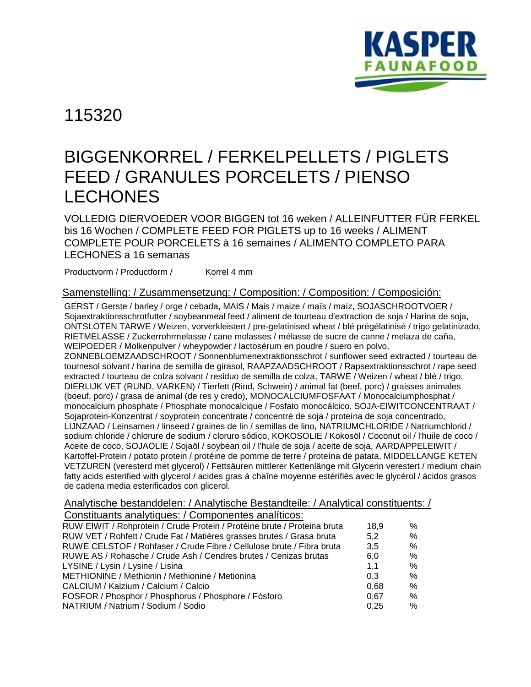

115320

## BIGGENKORREL / FERKELPELLETS / PIGLETS FEED / GRANULES PORCELETS / PIENSO LECHONES

VOLLEDIG DIERVOEDER VOOR BIGGEN tot 16 weken / ALLEINFUTTER FÜR FERKEL bis 16 Wochen / COMPLETE FEED FOR PIGLETS up to 16 weeks / ALIMENT COMPLETE POUR PORCELETS à 16 semaines / ALIMENTO COMPLETO PARA LECHONES a 16 semanas

Productvorm / Productform / Korrel 4 mm

## Samenstelling: / Zusammensetzung: / Composition: / Composition: / Composición:

GERST / Gerste / barley / orge / cebada, MAIS / Mais / maize / maïs / maíz, SOJASCHROOTVOER / Sojaextraktionsschrotfutter / soybeanmeal feed / aliment de tourteau d'extraction de soja / Harina de soja, ONTSLOTEN TARWE / Weizen, vorverkleistert / pre-gelatinised wheat / blé prégélatinisé / trigo gelatinizado, RIETMELASSE / Zuckerrohrmelasse / cane molasses / mélasse de sucre de canne / melaza de caña, WEIPOEDER / Molkenpulver / wheypowder / lactosérum en poudre / suero en polvo, ZONNEBLOEMZAADSCHROOT / Sonnenblumenextraktionsschrot / sunflower seed extracted / tourteau de tournesol solvant / harina de semilla de girasol, RAAPZAADSCHROOT / Rapsextraktionsschrot / rape seed extracted / tourteau de colza solvant / residuo de semilla de colza, TARWE / Weizen / wheat / blé / trigo, DIERLIJK VET (RUND, VARKEN) / Tierfett (Rind, Schwein) / animal fat (beef, porc) / graisses animales (boeuf, porc) / grasa de animal (de res y credo), MONOCALCIUMFOSFAAT / Monocalciumphosphat / monocalcium phosphate / Phosphate monocalcique / Fosfato monocálcico, SOJA-EIWITCONCENTRAAT / Sojaprotein-Konzentrat / soyprotein concentrate / concentré de soja / proteína de soja concentrado, LIJNZAAD / Leinsamen / linseed / graines de lin / semillas de lino, NATRIUMCHLORIDE / Natriumchlorid / sodium chloride / chlorure de sodium / cloruro sódico, KOKOSOLIE / Kokosöl / Coconut oil / l'huile de coco / Aceite de coco, SOJAOLIE / Sojaöl / soybean oil / l'huile de soja / aceite de soja, AARDAPPELEIWIT / Kartoffel-Protein / potato protein / protéine de pomme de terre / proteína de patata, MIDDELLANGE KETEN VETZUREN (veresterd met glycerol) / Fettsäuren mittlerer Kettenlänge mit Glycerin verestert / medium chain fatty acids esterified with glycerol / acides gras à chaîne moyenne estérifiés avec le glycérol / ácidos grasos de cadena media esterificados con glicerol.

Analytische bestanddelen: / Analytische Bestandteile: / Analytical constituents: /

| Constituants analytiques: / Componentes analíticos:                      |      |      |
|--------------------------------------------------------------------------|------|------|
| RUW EIWIT / Rohprotein / Crude Protein / Protéine brute / Proteina bruta | 18.9 | %    |
| RUW VET / Rohfett / Crude Fat / Matières grasses brutes / Grasa bruta    | 5,2  | $\%$ |
| RUWE CELSTOF / Rohfaser / Crude Fibre / Cellulose brute / Fibra bruta    | 3.5  | %    |
| RUWE AS / Rohasche / Crude Ash / Cendres brutes / Cenizas brutas         | 6.0  | %    |
| LYSINE / Lysin / Lysine / Lisina                                         | 1,1  | $\%$ |
| METHIONINE / Methionin / Methionine / Metionina                          | 0.3  | $\%$ |
| CALCIUM / Kalzium / Calcium / Calcio                                     | 0.68 | $\%$ |
| FOSFOR / Phosphor / Phosphorus / Phosphore / Fósforo                     | 0.67 | $\%$ |
| NATRIUM / Natrium / Sodium / Sodio                                       | 0.25 | $\%$ |
|                                                                          |      |      |